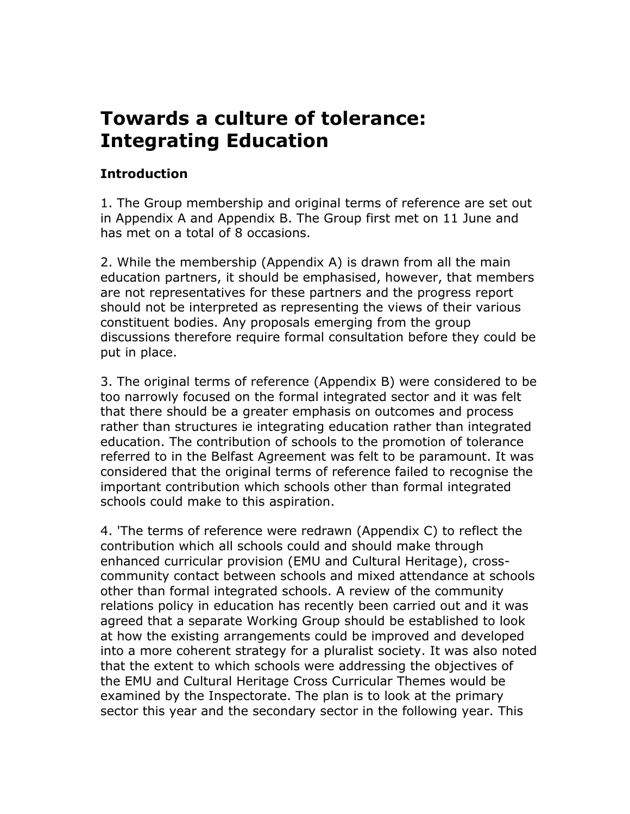# **Towards a culture of tolerance: Integrating Education**

### **Introduction**

1. The Group membership and original terms of reference are set out in Appendix A and Appendix B. The Group first met on 11 June and has met on a total of 8 occasions.

2. While the membership (Appendix A) is drawn from all the main education partners, it should be emphasised, however, that members are not representatives for these partners and the progress report should not be interpreted as representing the views of their various constituent bodies. Any proposals emerging from the group discussions therefore require formal consultation before they could be put in place.

3. The original terms of reference (Appendix B) were considered to be too narrowly focused on the formal integrated sector and it was felt that there should be a greater emphasis on outcomes and process rather than structures ie integrating education rather than integrated education. The contribution of schools to the promotion of tolerance referred to in the Belfast Agreement was felt to be paramount. It was considered that the original terms of reference failed to recognise the important contribution which schools other than formal integrated schools could make to this aspiration.

4. 'The terms of reference were redrawn (Appendix C) to reflect the contribution which all schools could and should make through enhanced curricular provision (EMU and Cultural Heritage), crosscommunity contact between schools and mixed attendance at schools other than formal integrated schools. A review of the community relations policy in education has recently been carried out and it was agreed that a separate Working Group should be established to look at how the existing arrangements could be improved and developed into a more coherent strategy for a pluralist society. It was also noted that the extent to which schools were addressing the objectives of the EMU and Cultural Heritage Cross Curricular Themes would be examined by the Inspectorate. The plan is to look at the primary sector this year and the secondary sector in the following year. This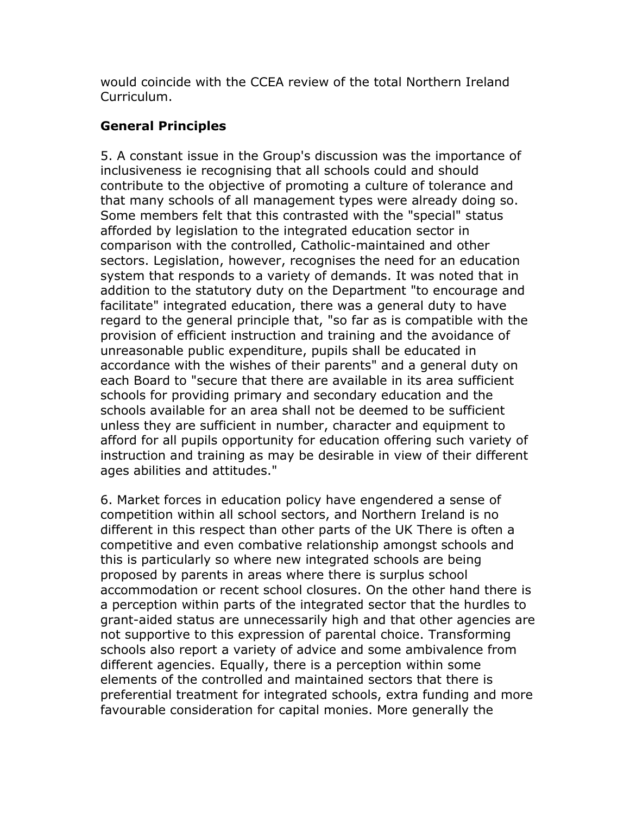would coincide with the CCEA review of the total Northern Ireland Curriculum.

## **General Principles**

5. A constant issue in the Group's discussion was the importance of inclusiveness ie recognising that all schools could and should contribute to the objective of promoting a culture of tolerance and that many schools of all management types were already doing so. Some members felt that this contrasted with the "special" status afforded by legislation to the integrated education sector in comparison with the controlled, Catholic-maintained and other sectors. Legislation, however, recognises the need for an education system that responds to a variety of demands. It was noted that in addition to the statutory duty on the Department "to encourage and facilitate" integrated education, there was a general duty to have regard to the general principle that, "so far as is compatible with the provision of efficient instruction and training and the avoidance of unreasonable public expenditure, pupils shall be educated in accordance with the wishes of their parents" and a general duty on each Board to "secure that there are available in its area sufficient schools for providing primary and secondary education and the schools available for an area shall not be deemed to be sufficient unless they are sufficient in number, character and equipment to afford for all pupils opportunity for education offering such variety of instruction and training as may be desirable in view of their different ages abilities and attitudes."

6. Market forces in education policy have engendered a sense of competition within all school sectors, and Northern Ireland is no different in this respect than other parts of the UK There is often a competitive and even combative relationship amongst schools and this is particularly so where new integrated schools are being proposed by parents in areas where there is surplus school accommodation or recent school closures. On the other hand there is a perception within parts of the integrated sector that the hurdles to grant-aided status are unnecessarily high and that other agencies are not supportive to this expression of parental choice. Transforming schools also report a variety of advice and some ambivalence from different agencies. Equally, there is a perception within some elements of the controlled and maintained sectors that there is preferential treatment for integrated schools, extra funding and more favourable consideration for capital monies. More generally the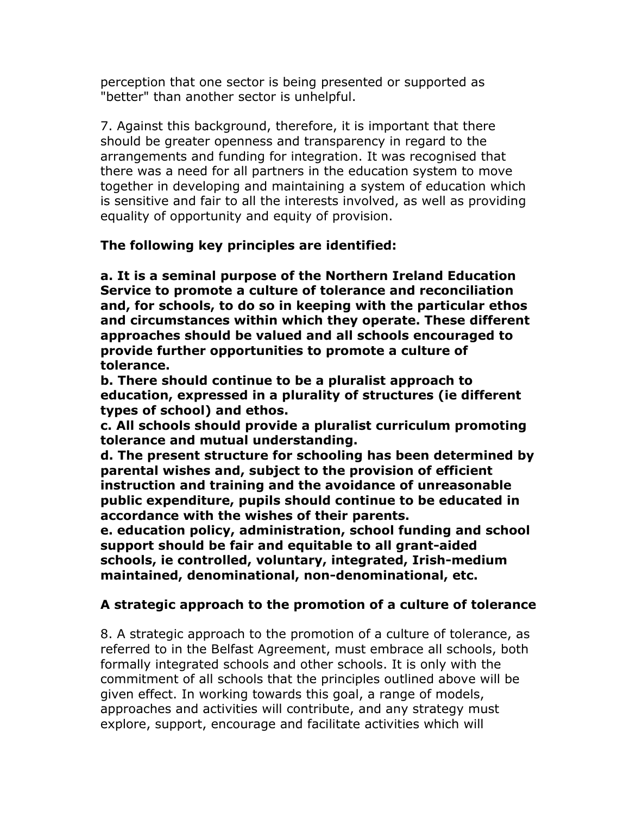perception that one sector is being presented or supported as "better" than another sector is unhelpful.

7. Against this background, therefore, it is important that there should be greater openness and transparency in regard to the arrangements and funding for integration. It was recognised that there was a need for all partners in the education system to move together in developing and maintaining a system of education which is sensitive and fair to all the interests involved, as well as providing equality of opportunity and equity of provision.

### **The following key principles are identified:**

**a. It is a seminal purpose of the Northern Ireland Education Service to promote a culture of tolerance and reconciliation and, for schools, to do so in keeping with the particular ethos and circumstances within which they operate. These different approaches should be valued and all schools encouraged to provide further opportunities to promote a culture of tolerance.**

**b. There should continue to be a pluralist approach to education, expressed in a plurality of structures (ie different types of school) and ethos.**

**c. All schools should provide a pluralist curriculum promoting tolerance and mutual understanding.**

**d. The present structure for schooling has been determined by parental wishes and, subject to the provision of efficient instruction and training and the avoidance of unreasonable public expenditure, pupils should continue to be educated in accordance with the wishes of their parents.**

**e. education policy, administration, school funding and school support should be fair and equitable to all grant-aided schools, ie controlled, voluntary, integrated, Irish-medium maintained, denominational, non-denominational, etc.**

### **A strategic approach to the promotion of a culture of tolerance**

8. A strategic approach to the promotion of a culture of tolerance, as referred to in the Belfast Agreement, must embrace all schools, both formally integrated schools and other schools. It is only with the commitment of all schools that the principles outlined above will be given effect. In working towards this goal, a range of models, approaches and activities will contribute, and any strategy must explore, support, encourage and facilitate activities which will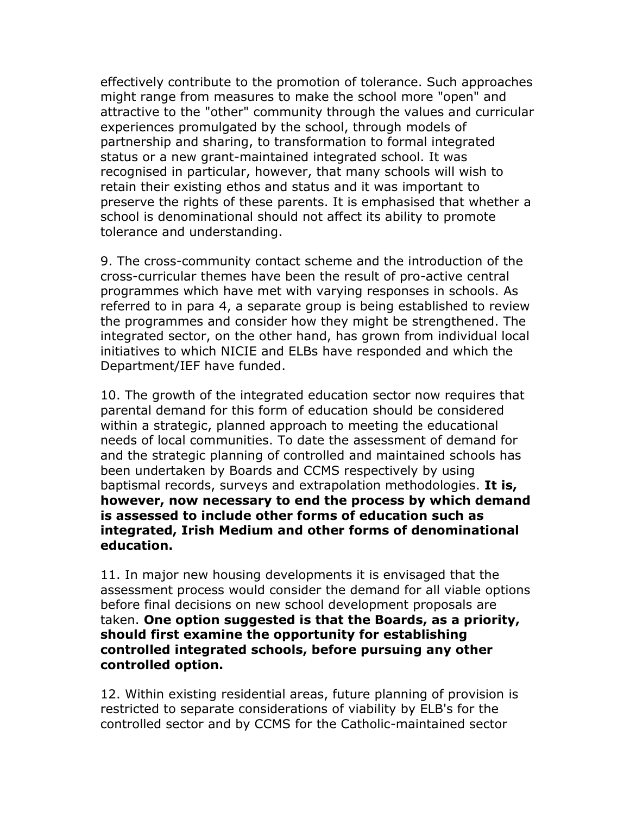effectively contribute to the promotion of tolerance. Such approaches might range from measures to make the school more "open" and attractive to the "other" community through the values and curricular experiences promulgated by the school, through models of partnership and sharing, to transformation to formal integrated status or a new grant-maintained integrated school. It was recognised in particular, however, that many schools will wish to retain their existing ethos and status and it was important to preserve the rights of these parents. It is emphasised that whether a school is denominational should not affect its ability to promote tolerance and understanding.

9. The cross-community contact scheme and the introduction of the cross-curricular themes have been the result of pro-active central programmes which have met with varying responses in schools. As referred to in para 4, a separate group is being established to review the programmes and consider how they might be strengthened. The integrated sector, on the other hand, has grown from individual local initiatives to which NICIE and ELBs have responded and which the Department/IEF have funded.

10. The growth of the integrated education sector now requires that parental demand for this form of education should be considered within a strategic, planned approach to meeting the educational needs of local communities. To date the assessment of demand for and the strategic planning of controlled and maintained schools has been undertaken by Boards and CCMS respectively by using baptismal records, surveys and extrapolation methodologies. **It is, however, now necessary to end the process by which demand is assessed to include other forms of education such as integrated, Irish Medium and other forms of denominational education.**

11. In major new housing developments it is envisaged that the assessment process would consider the demand for all viable options before final decisions on new school development proposals are taken. **One option suggested is that the Boards, as a priority, should first examine the opportunity for establishing controlled integrated schools, before pursuing any other controlled option.**

12. Within existing residential areas, future planning of provision is restricted to separate considerations of viability by ELB's for the controlled sector and by CCMS for the Catholic-maintained sector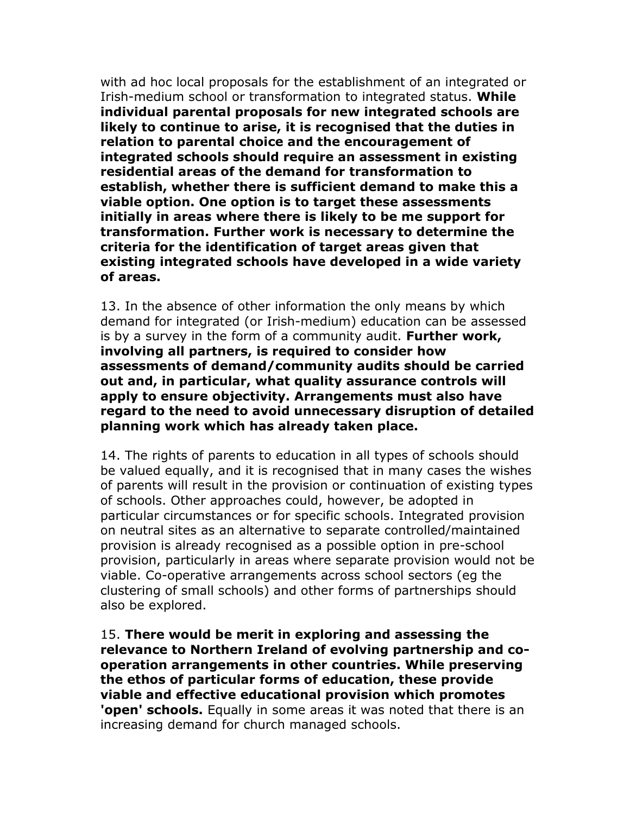with ad hoc local proposals for the establishment of an integrated or Irish-medium school or transformation to integrated status. **While individual parental proposals for new integrated schools are likely to continue to arise, it is recognised that the duties in relation to parental choice and the encouragement of integrated schools should require an assessment in existing residential areas of the demand for transformation to establish, whether there is sufficient demand to make this a viable option. One option is to target these assessments initially in areas where there is likely to be me support for transformation. Further work is necessary to determine the criteria for the identification of target areas given that existing integrated schools have developed in a wide variety of areas.**

13. In the absence of other information the only means by which demand for integrated (or Irish-medium) education can be assessed is by a survey in the form of a community audit. **Further work, involving all partners, is required to consider how assessments of demand/community audits should be carried out and, in particular, what quality assurance controls will apply to ensure objectivity. Arrangements must also have regard to the need to avoid unnecessary disruption of detailed planning work which has already taken place.**

14. The rights of parents to education in all types of schools should be valued equally, and it is recognised that in many cases the wishes of parents will result in the provision or continuation of existing types of schools. Other approaches could, however, be adopted in particular circumstances or for specific schools. Integrated provision on neutral sites as an alternative to separate controlled/maintained provision is already recognised as a possible option in pre-school provision, particularly in areas where separate provision would not be viable. Co-operative arrangements across school sectors (eg the clustering of small schools) and other forms of partnerships should also be explored.

15. **There would be merit in exploring and assessing the relevance to Northern Ireland of evolving partnership and cooperation arrangements in other countries. While preserving the ethos of particular forms of education, these provide viable and effective educational provision which promotes 'open' schools.** Equally in some areas it was noted that there is an increasing demand for church managed schools.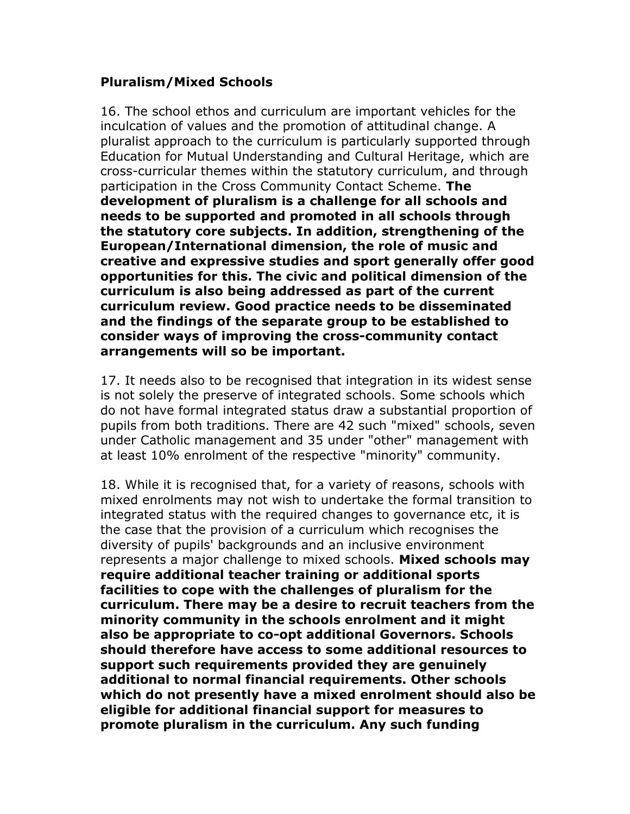#### **Pluralism/Mixed Schools**

16. The school ethos and curriculum are important vehicles for the inculcation of values and the promotion of attitudinal change. A pluralist approach to the curriculum is particularly supported through Education for Mutual Understanding and Cultural Heritage, which are cross-curricular themes within the statutory curriculum, and through participation in the Cross Community Contact Scheme. **The development of pluralism is a challenge for all schools and needs to be supported and promoted in all schools through the statutory core subjects. In addition, strengthening of the European/International dimension, the role of music and creative and expressive studies and sport generally offer good opportunities for this. The civic and political dimension of the curriculum is also being addressed as part of the current curriculum review. Good practice needs to be disseminated and the findings of the separate group to be established to consider ways of improving the cross-community contact arrangements will so be important.**

17. It needs also to be recognised that integration in its widest sense is not solely the preserve of integrated schools. Some schools which do not have formal integrated status draw a substantial proportion of pupils from both traditions. There are 42 such "mixed" schools, seven under Catholic management and 35 under "other" management with at least 10% enrolment of the respective "minority" community.

18. While it is recognised that, for a variety of reasons, schools with mixed enrolments may not wish to undertake the formal transition to integrated status with the required changes to governance etc, it is the case that the provision of a curriculum which recognises the diversity of pupils' backgrounds and an inclusive environment represents a major challenge to mixed schools. **Mixed schools may require additional teacher training or additional sports facilities to cope with the challenges of pluralism for the curriculum. There may be a desire to recruit teachers from the minority community in the schools enrolment and it might also be appropriate to co-opt additional Governors. Schools should therefore have access to some additional resources to support such requirements provided they are genuinely additional to normal financial requirements. Other schools which do not presently have a mixed enrolment should also be eligible for additional financial support for measures to promote pluralism in the curriculum. Any such funding**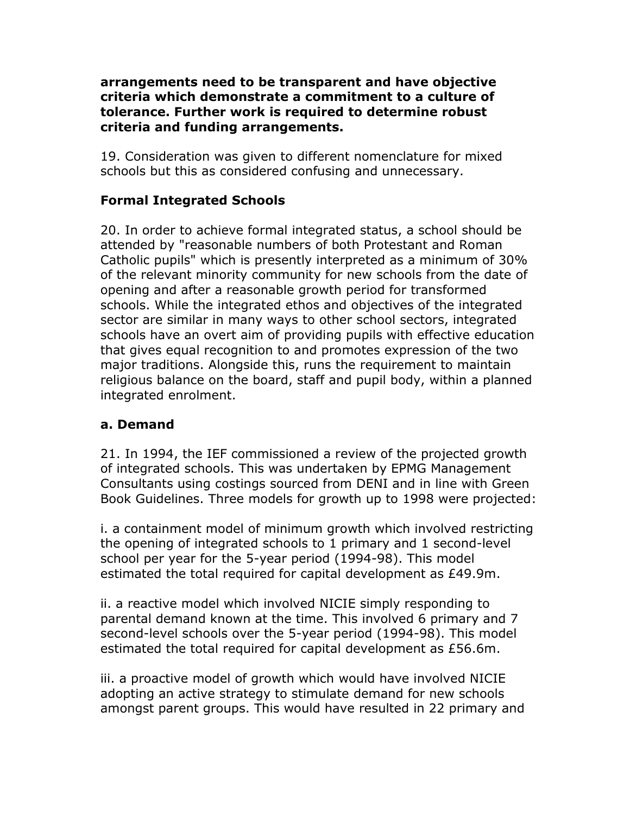#### **arrangements need to be transparent and have objective criteria which demonstrate a commitment to a culture of tolerance. Further work is required to determine robust criteria and funding arrangements.**

19. Consideration was given to different nomenclature for mixed schools but this as considered confusing and unnecessary.

## **Formal Integrated Schools**

20. In order to achieve formal integrated status, a school should be attended by "reasonable numbers of both Protestant and Roman Catholic pupils" which is presently interpreted as a minimum of 30% of the relevant minority community for new schools from the date of opening and after a reasonable growth period for transformed schools. While the integrated ethos and objectives of the integrated sector are similar in many ways to other school sectors, integrated schools have an overt aim of providing pupils with effective education that gives equal recognition to and promotes expression of the two major traditions. Alongside this, runs the requirement to maintain religious balance on the board, staff and pupil body, within a planned integrated enrolment.

### **a. Demand**

21. In 1994, the IEF commissioned a review of the projected growth of integrated schools. This was undertaken by EPMG Management Consultants using costings sourced from DENI and in line with Green Book Guidelines. Three models for growth up to 1998 were projected:

i. a containment model of minimum growth which involved restricting the opening of integrated schools to 1 primary and 1 second-level school per year for the 5-year period (1994-98). This model estimated the total required for capital development as £49.9m.

ii. a reactive model which involved NICIE simply responding to parental demand known at the time. This involved 6 primary and 7 second-level schools over the 5-year period (1994-98). This model estimated the total required for capital development as £56.6m.

iii. a proactive model of growth which would have involved NICIE adopting an active strategy to stimulate demand for new schools amongst parent groups. This would have resulted in 22 primary and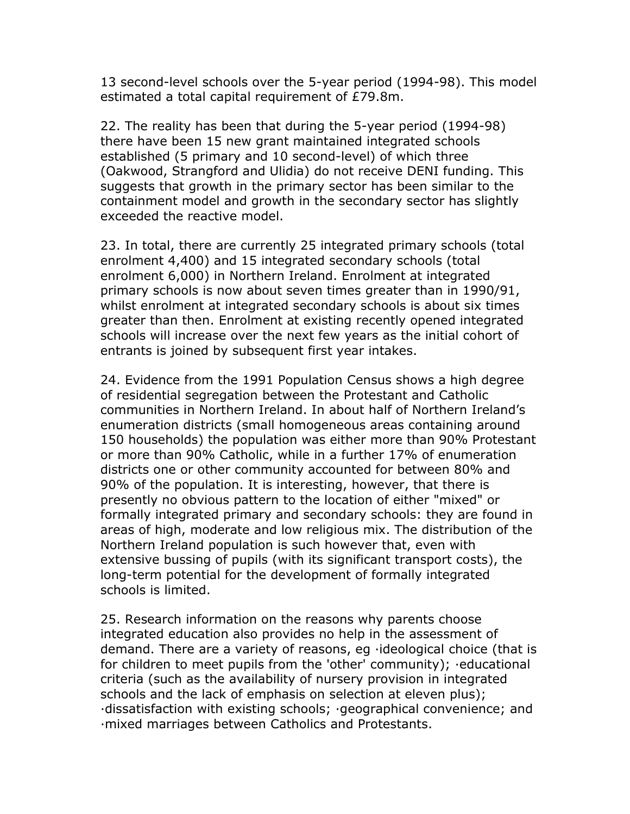13 second-level schools over the 5-year period (1994-98). This model estimated a total capital requirement of £79.8m.

22. The reality has been that during the 5-year period (1994-98) there have been 15 new grant maintained integrated schools established (5 primary and 10 second-level) of which three (Oakwood, Strangford and Ulidia) do not receive DENI funding. This suggests that growth in the primary sector has been similar to the containment model and growth in the secondary sector has slightly exceeded the reactive model.

23. In total, there are currently 25 integrated primary schools (total enrolment 4,400) and 15 integrated secondary schools (total enrolment 6,000) in Northern Ireland. Enrolment at integrated primary schools is now about seven times greater than in 1990/91, whilst enrolment at integrated secondary schools is about six times greater than then. Enrolment at existing recently opened integrated schools will increase over the next few years as the initial cohort of entrants is joined by subsequent first year intakes.

24. Evidence from the 1991 Population Census shows a high degree of residential segregation between the Protestant and Catholic communities in Northern Ireland. In about half of Northern Ireland's enumeration districts (small homogeneous areas containing around 150 households) the population was either more than 90% Protestant or more than 90% Catholic, while in a further 17% of enumeration districts one or other community accounted for between 80% and 90% of the population. It is interesting, however, that there is presently no obvious pattern to the location of either "mixed" or formally integrated primary and secondary schools: they are found in areas of high, moderate and low religious mix. The distribution of the Northern Ireland population is such however that, even with extensive bussing of pupils (with its significant transport costs), the long-term potential for the development of formally integrated schools is limited.

25. Research information on the reasons why parents choose integrated education also provides no help in the assessment of demand. There are a variety of reasons, eg ·ideological choice (that is for children to meet pupils from the 'other' community); ·educational criteria (such as the availability of nursery provision in integrated schools and the lack of emphasis on selection at eleven plus); ·dissatisfaction with existing schools; ·geographical convenience; and ·mixed marriages between Catholics and Protestants.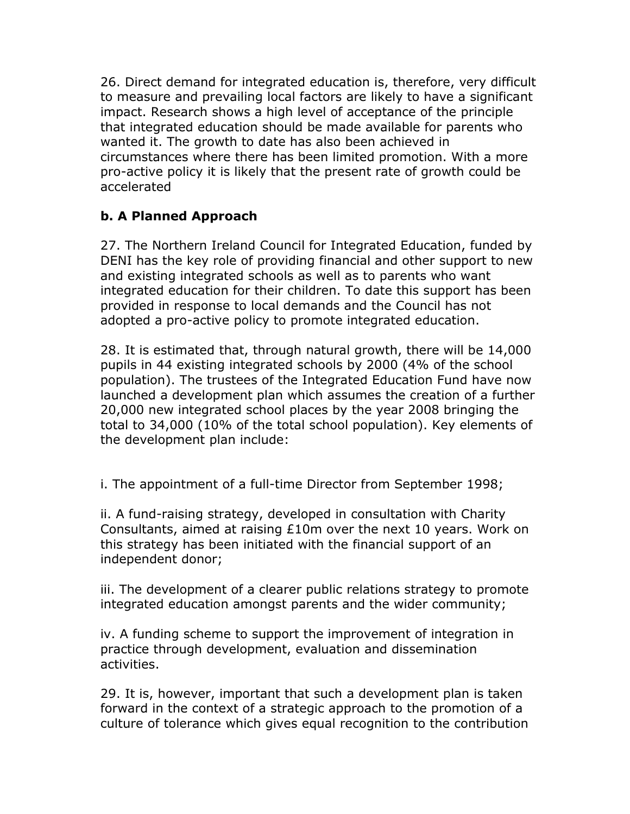26. Direct demand for integrated education is, therefore, very difficult to measure and prevailing local factors are likely to have a significant impact. Research shows a high level of acceptance of the principle that integrated education should be made available for parents who wanted it. The growth to date has also been achieved in circumstances where there has been limited promotion. With a more pro-active policy it is likely that the present rate of growth could be accelerated

## **b. A Planned Approach**

27. The Northern Ireland Council for Integrated Education, funded by DENI has the key role of providing financial and other support to new and existing integrated schools as well as to parents who want integrated education for their children. To date this support has been provided in response to local demands and the Council has not adopted a pro-active policy to promote integrated education.

28. It is estimated that, through natural growth, there will be 14,000 pupils in 44 existing integrated schools by 2000 (4% of the school population). The trustees of the Integrated Education Fund have now launched a development plan which assumes the creation of a further 20,000 new integrated school places by the year 2008 bringing the total to 34,000 (10% of the total school population). Key elements of the development plan include:

i. The appointment of a full-time Director from September 1998;

ii. A fund-raising strategy, developed in consultation with Charity Consultants, aimed at raising £10m over the next 10 years. Work on this strategy has been initiated with the financial support of an independent donor;

iii. The development of a clearer public relations strategy to promote integrated education amongst parents and the wider community;

iv. A funding scheme to support the improvement of integration in practice through development, evaluation and dissemination activities.

29. It is, however, important that such a development plan is taken forward in the context of a strategic approach to the promotion of a culture of tolerance which gives equal recognition to the contribution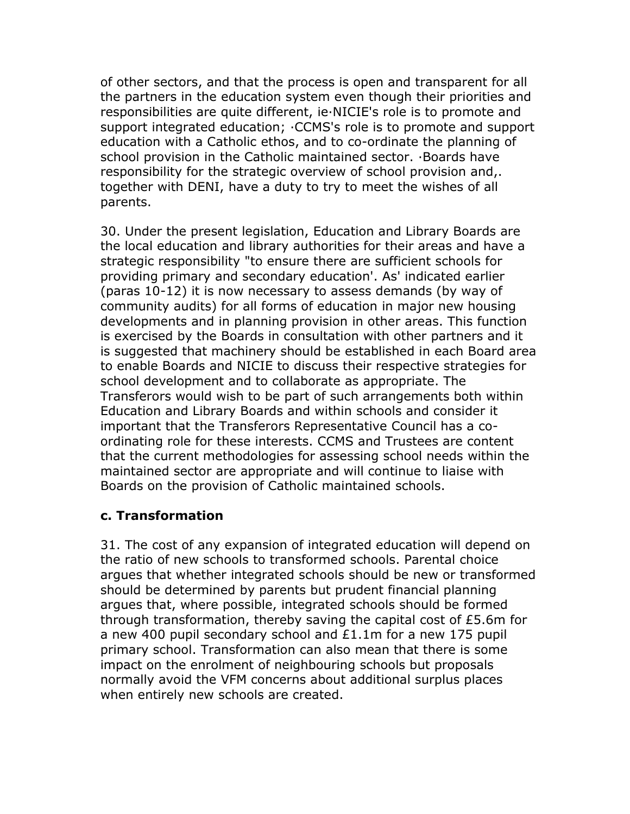of other sectors, and that the process is open and transparent for all the partners in the education system even though their priorities and responsibilities are quite different, ie·NICIE's role is to promote and support integrated education; ·CCMS's role is to promote and support education with a Catholic ethos, and to co-ordinate the planning of school provision in the Catholic maintained sector. ·Boards have responsibility for the strategic overview of school provision and,. together with DENI, have a duty to try to meet the wishes of all parents.

30. Under the present legislation, Education and Library Boards are the local education and library authorities for their areas and have a strategic responsibility "to ensure there are sufficient schools for providing primary and secondary education'. As' indicated earlier (paras 10-12) it is now necessary to assess demands (by way of community audits) for all forms of education in major new housing developments and in planning provision in other areas. This function is exercised by the Boards in consultation with other partners and it is suggested that machinery should be established in each Board area to enable Boards and NICIE to discuss their respective strategies for school development and to collaborate as appropriate. The Transferors would wish to be part of such arrangements both within Education and Library Boards and within schools and consider it important that the Transferors Representative Council has a coordinating role for these interests. CCMS and Trustees are content that the current methodologies for assessing school needs within the maintained sector are appropriate and will continue to liaise with Boards on the provision of Catholic maintained schools.

### **c. Transformation**

31. The cost of any expansion of integrated education will depend on the ratio of new schools to transformed schools. Parental choice argues that whether integrated schools should be new or transformed should be determined by parents but prudent financial planning argues that, where possible, integrated schools should be formed through transformation, thereby saving the capital cost of £5.6m for a new 400 pupil secondary school and £1.1m for a new 175 pupil primary school. Transformation can also mean that there is some impact on the enrolment of neighbouring schools but proposals normally avoid the VFM concerns about additional surplus places when entirely new schools are created.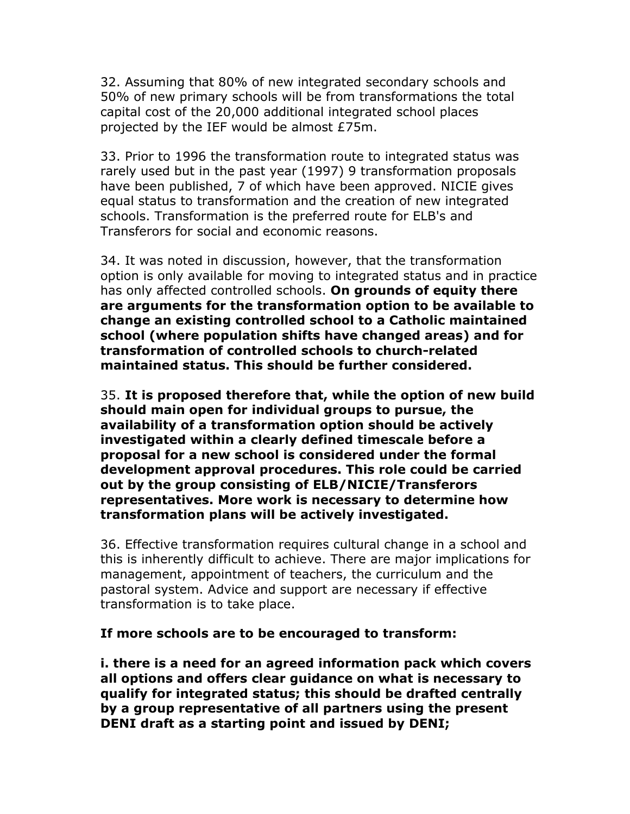32. Assuming that 80% of new integrated secondary schools and 50% of new primary schools will be from transformations the total capital cost of the 20,000 additional integrated school places projected by the IEF would be almost £75m.

33. Prior to 1996 the transformation route to integrated status was rarely used but in the past year (1997) 9 transformation proposals have been published, 7 of which have been approved. NICIE gives equal status to transformation and the creation of new integrated schools. Transformation is the preferred route for ELB's and Transferors for social and economic reasons.

34. It was noted in discussion, however, that the transformation option is only available for moving to integrated status and in practice has only affected controlled schools. **On grounds of equity there are arguments for the transformation option to be available to change an existing controlled school to a Catholic maintained school (where population shifts have changed areas) and for transformation of controlled schools to church-related maintained status. This should be further considered.**

35. **It is proposed therefore that, while the option of new build should main open for individual groups to pursue, the availability of a transformation option should be actively investigated within a clearly defined timescale before a proposal for a new school is considered under the formal development approval procedures. This role could be carried out by the group consisting of ELB/NICIE/Transferors representatives. More work is necessary to determine how transformation plans will be actively investigated.**

36. Effective transformation requires cultural change in a school and this is inherently difficult to achieve. There are major implications for management, appointment of teachers, the curriculum and the pastoral system. Advice and support are necessary if effective transformation is to take place.

#### **If more schools are to be encouraged to transform:**

**i. there is a need for an agreed information pack which covers all options and offers clear guidance on what is necessary to qualify for integrated status; this should be drafted centrally by a group representative of all partners using the present DENI draft as a starting point and issued by DENI;**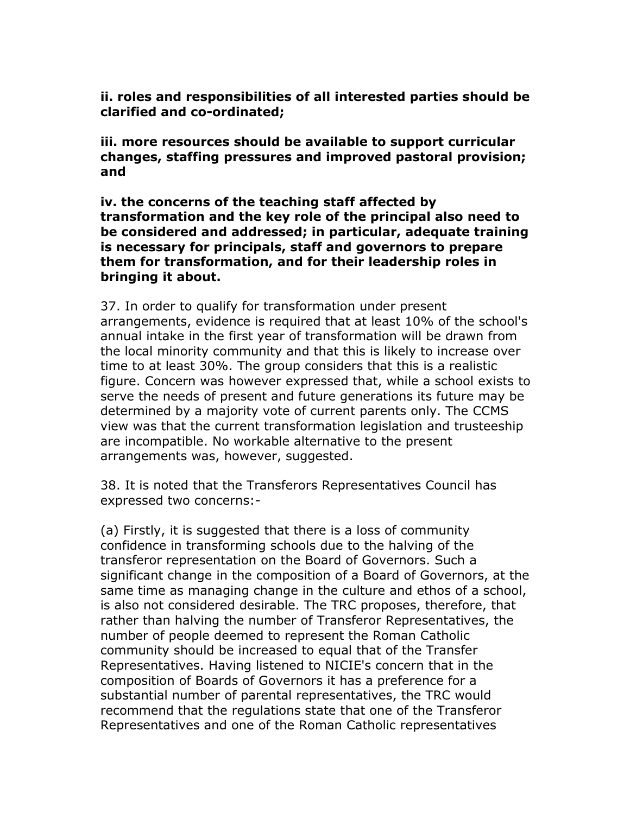**ii. roles and responsibilities of all interested parties should be clarified and co-ordinated;**

**iii. more resources should be available to support curricular changes, staffing pressures and improved pastoral provision; and**

**iv. the concerns of the teaching staff affected by transformation and the key role of the principal also need to be considered and addressed; in particular, adequate training is necessary for principals, staff and governors to prepare them for transformation, and for their leadership roles in bringing it about.**

37. In order to qualify for transformation under present arrangements, evidence is required that at least 10% of the school's annual intake in the first year of transformation will be drawn from the local minority community and that this is likely to increase over time to at least 30%. The group considers that this is a realistic figure. Concern was however expressed that, while a school exists to serve the needs of present and future generations its future may be determined by a majority vote of current parents only. The CCMS view was that the current transformation legislation and trusteeship are incompatible. No workable alternative to the present arrangements was, however, suggested.

38. It is noted that the Transferors Representatives Council has expressed two concerns:-

(a) Firstly, it is suggested that there is a loss of community confidence in transforming schools due to the halving of the transferor representation on the Board of Governors. Such a significant change in the composition of a Board of Governors, at the same time as managing change in the culture and ethos of a school, is also not considered desirable. The TRC proposes, therefore, that rather than halving the number of Transferor Representatives, the number of people deemed to represent the Roman Catholic community should be increased to equal that of the Transfer Representatives. Having listened to NICIE's concern that in the composition of Boards of Governors it has a preference for a substantial number of parental representatives, the TRC would recommend that the regulations state that one of the Transferor Representatives and one of the Roman Catholic representatives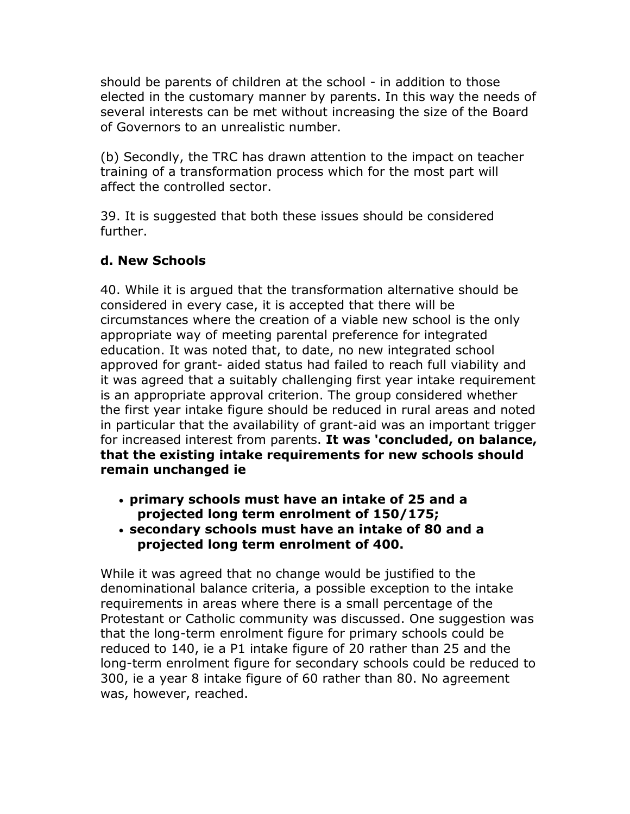should be parents of children at the school - in addition to those elected in the customary manner by parents. In this way the needs of several interests can be met without increasing the size of the Board of Governors to an unrealistic number.

(b) Secondly, the TRC has drawn attention to the impact on teacher training of a transformation process which for the most part will affect the controlled sector.

39. It is suggested that both these issues should be considered further.

### **d. New Schools**

40. While it is argued that the transformation alternative should be considered in every case, it is accepted that there will be circumstances where the creation of a viable new school is the only appropriate way of meeting parental preference for integrated education. It was noted that, to date, no new integrated school approved for grant- aided status had failed to reach full viability and it was agreed that a suitably challenging first year intake requirement is an appropriate approval criterion. The group considered whether the first year intake figure should be reduced in rural areas and noted in particular that the availability of grant-aid was an important trigger for increased interest from parents. **It was 'concluded, on balance, that the existing intake requirements for new schools should remain unchanged ie**

- **primary schools must have an intake of 25 and a projected long term enrolment of 150/175;**
- **secondary schools must have an intake of 80 and a projected long term enrolment of 400.**

While it was agreed that no change would be justified to the denominational balance criteria, a possible exception to the intake requirements in areas where there is a small percentage of the Protestant or Catholic community was discussed. One suggestion was that the long-term enrolment figure for primary schools could be reduced to 140, ie a P1 intake figure of 20 rather than 25 and the long-term enrolment figure for secondary schools could be reduced to 300, ie a year 8 intake figure of 60 rather than 80. No agreement was, however, reached.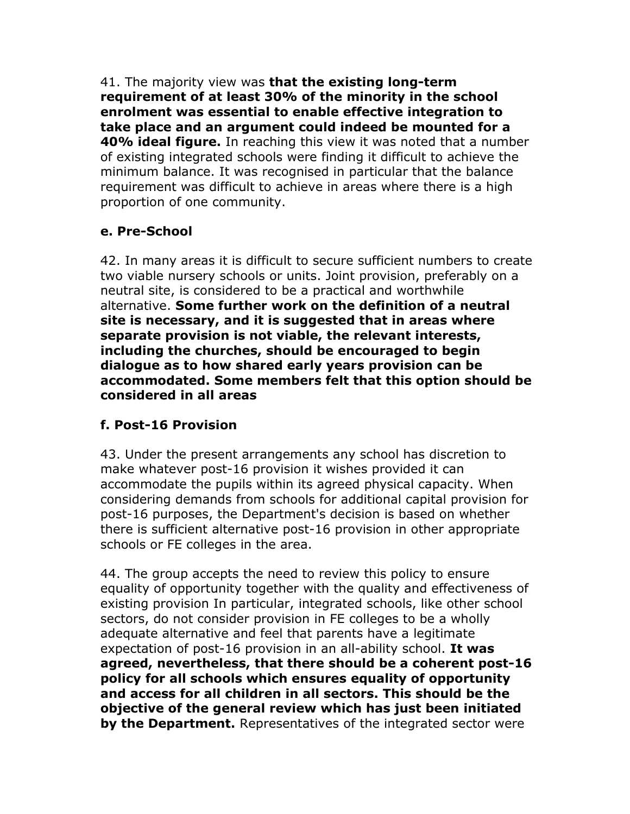41. The majority view was **that the existing long-term requirement of at least 30% of the minority in the school enrolment was essential to enable effective integration to take place and an argument could indeed be mounted for a 40% ideal figure.** In reaching this view it was noted that a number of existing integrated schools were finding it difficult to achieve the minimum balance. It was recognised in particular that the balance requirement was difficult to achieve in areas where there is a high proportion of one community.

## **e. Pre-School**

42. In many areas it is difficult to secure sufficient numbers to create two viable nursery schools or units. Joint provision, preferably on a neutral site, is considered to be a practical and worthwhile alternative. **Some further work on the definition of a neutral site is necessary, and it is suggested that in areas where separate provision is not viable, the relevant interests, including the churches, should be encouraged to begin dialogue as to how shared early years provision can be accommodated. Some members felt that this option should be considered in all areas**

### **f. Post-16 Provision**

43. Under the present arrangements any school has discretion to make whatever post-16 provision it wishes provided it can accommodate the pupils within its agreed physical capacity. When considering demands from schools for additional capital provision for post-16 purposes, the Department's decision is based on whether there is sufficient alternative post-16 provision in other appropriate schools or FE colleges in the area.

44. The group accepts the need to review this policy to ensure equality of opportunity together with the quality and effectiveness of existing provision In particular, integrated schools, like other school sectors, do not consider provision in FE colleges to be a wholly adequate alternative and feel that parents have a legitimate expectation of post-16 provision in an all-ability school. **It was agreed, nevertheless, that there should be a coherent post-16 policy for all schools which ensures equality of opportunity and access for all children in all sectors. This should be the objective of the general review which has just been initiated by the Department.** Representatives of the integrated sector were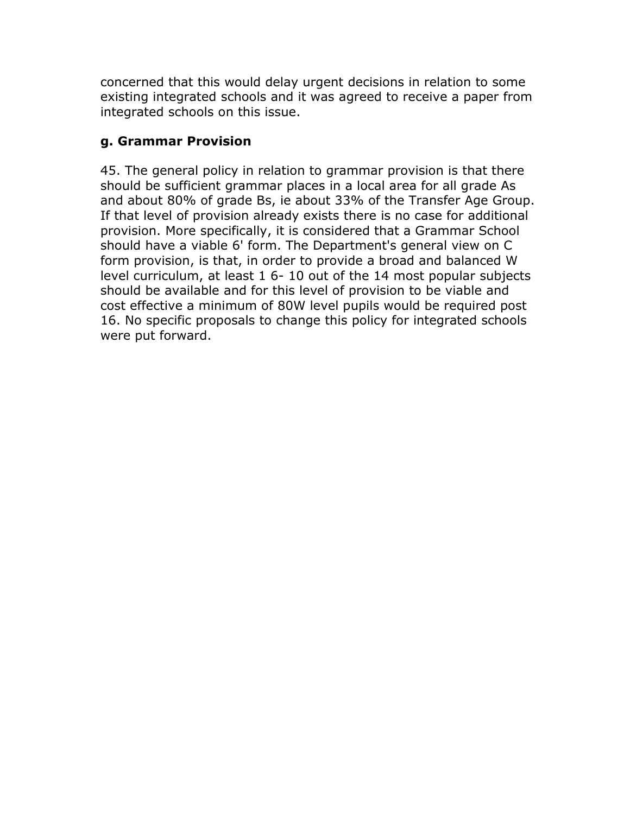concerned that this would delay urgent decisions in relation to some existing integrated schools and it was agreed to receive a paper from integrated schools on this issue.

#### **g. Grammar Provision**

45. The general policy in relation to grammar provision is that there should be sufficient grammar places in a local area for all grade As and about 80% of grade Bs, ie about 33% of the Transfer Age Group. If that level of provision already exists there is no case for additional provision. More specifically, it is considered that a Grammar School should have a viable 6' form. The Department's general view on C form provision, is that, in order to provide a broad and balanced W level curriculum, at least 1 6- 10 out of the 14 most popular subjects should be available and for this level of provision to be viable and cost effective a minimum of 80W level pupils would be required post 16. No specific proposals to change this policy for integrated schools were put forward.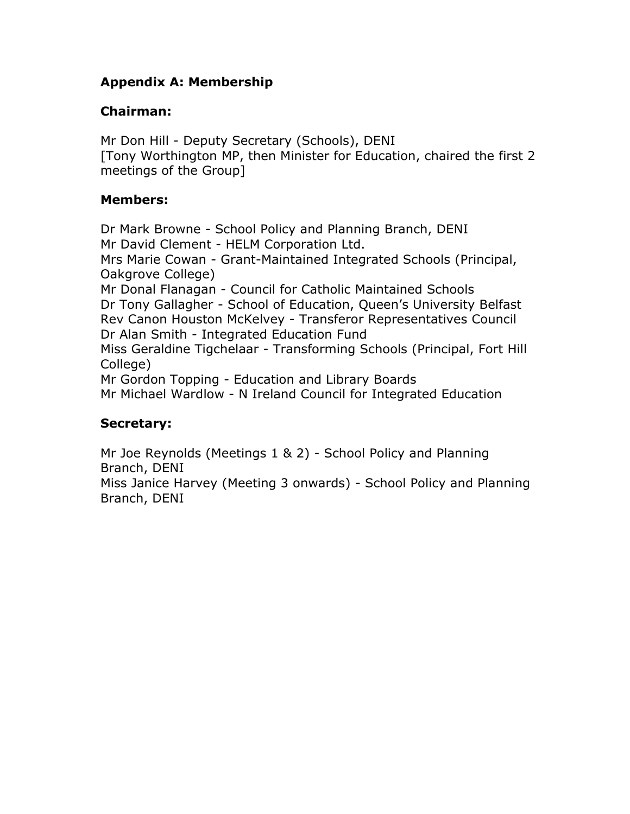### **Appendix A: Membership**

#### **Chairman:**

Mr Don Hill - Deputy Secretary (Schools), DENI [Tony Worthington MP, then Minister for Education, chaired the first 2 meetings of the Group]

#### **Members:**

Dr Mark Browne - School Policy and Planning Branch, DENI Mr David Clement - HELM Corporation Ltd. Mrs Marie Cowan - Grant-Maintained Integrated Schools (Principal, Oakgrove College) Mr Donal Flanagan - Council for Catholic Maintained Schools Dr Tony Gallagher - School of Education, Queen's University Belfast Rev Canon Houston McKelvey - Transferor Representatives Council Dr Alan Smith - Integrated Education Fund Miss Geraldine Tigchelaar - Transforming Schools (Principal, Fort Hill College) Mr Gordon Topping - Education and Library Boards Mr Michael Wardlow - N Ireland Council for Integrated Education

### **Secretary:**

Mr Joe Reynolds (Meetings 1 & 2) - School Policy and Planning Branch, DENI Miss Janice Harvey (Meeting 3 onwards) - School Policy and Planning Branch, DENI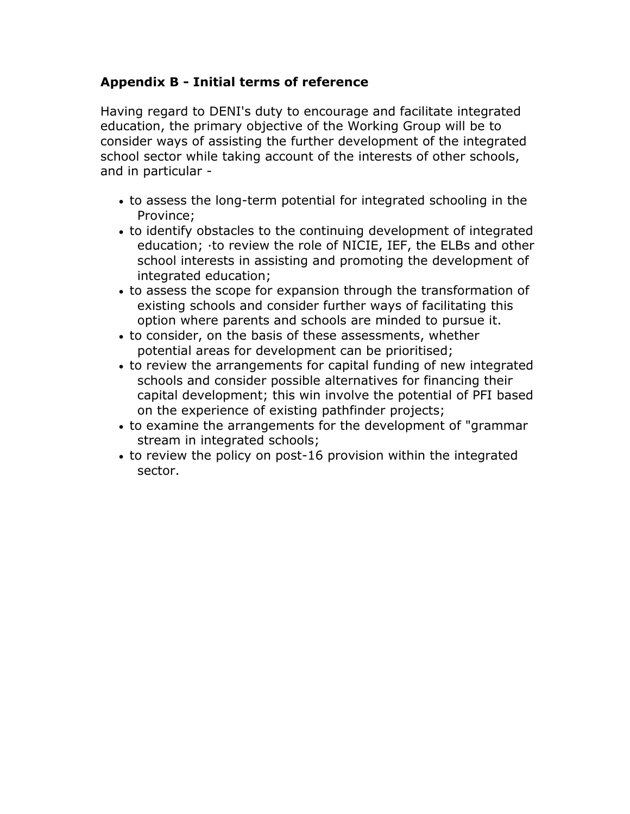### **Appendix B - Initial terms of reference**

Having regard to DENI's duty to encourage and facilitate integrated education, the primary objective of the Working Group will be to consider ways of assisting the further development of the integrated school sector while taking account of the interests of other schools, and in particular -

- to assess the long-term potential for integrated schooling in the Province;
- to identify obstacles to the continuing development of integrated education; ·to review the role of NICIE, IEF, the ELBs and other school interests in assisting and promoting the development of integrated education;
- to assess the scope for expansion through the transformation of existing schools and consider further ways of facilitating this option where parents and schools are minded to pursue it.
- to consider, on the basis of these assessments, whether potential areas for development can be prioritised;
- to review the arrangements for capital funding of new integrated schools and consider possible alternatives for financing their capital development; this win involve the potential of PFI based on the experience of existing pathfinder projects;
- to examine the arrangements for the development of "grammar stream in integrated schools;
- to review the policy on post-16 provision within the integrated sector.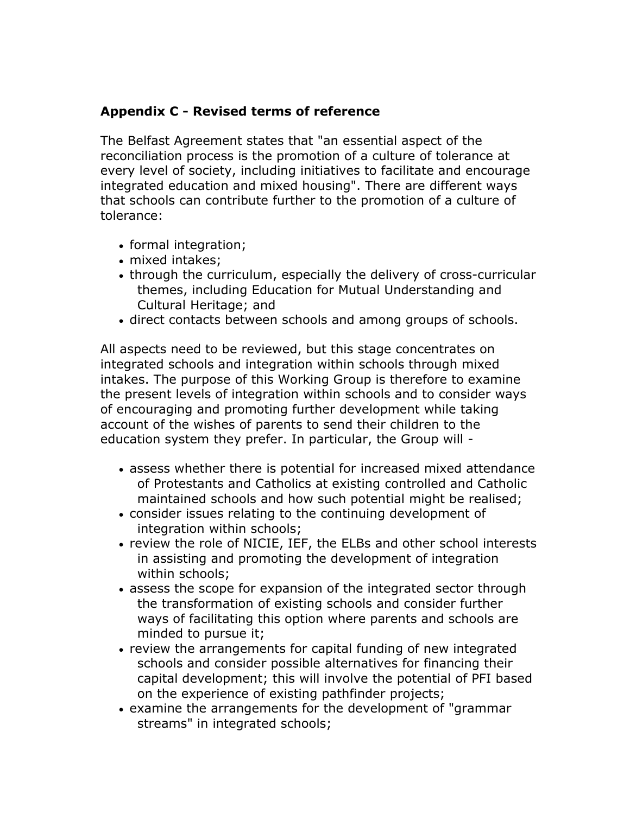#### **Appendix C - Revised terms of reference**

The Belfast Agreement states that "an essential aspect of the reconciliation process is the promotion of a culture of tolerance at every level of society, including initiatives to facilitate and encourage integrated education and mixed housing". There are different ways that schools can contribute further to the promotion of a culture of tolerance:

- formal integration;
- mixed intakes;
- through the curriculum, especially the delivery of cross-curricular themes, including Education for Mutual Understanding and Cultural Heritage; and
- direct contacts between schools and among groups of schools.

All aspects need to be reviewed, but this stage concentrates on integrated schools and integration within schools through mixed intakes. The purpose of this Working Group is therefore to examine the present levels of integration within schools and to consider ways of encouraging and promoting further development while taking account of the wishes of parents to send their children to the education system they prefer. In particular, the Group will -

- assess whether there is potential for increased mixed attendance of Protestants and Catholics at existing controlled and Catholic maintained schools and how such potential might be realised;
- consider issues relating to the continuing development of integration within schools;
- review the role of NICIE, IEF, the ELBs and other school interests in assisting and promoting the development of integration within schools;
- assess the scope for expansion of the integrated sector through the transformation of existing schools and consider further ways of facilitating this option where parents and schools are minded to pursue it;
- review the arrangements for capital funding of new integrated schools and consider possible alternatives for financing their capital development; this will involve the potential of PFI based on the experience of existing pathfinder projects;
- examine the arrangements for the development of "grammar streams" in integrated schools;